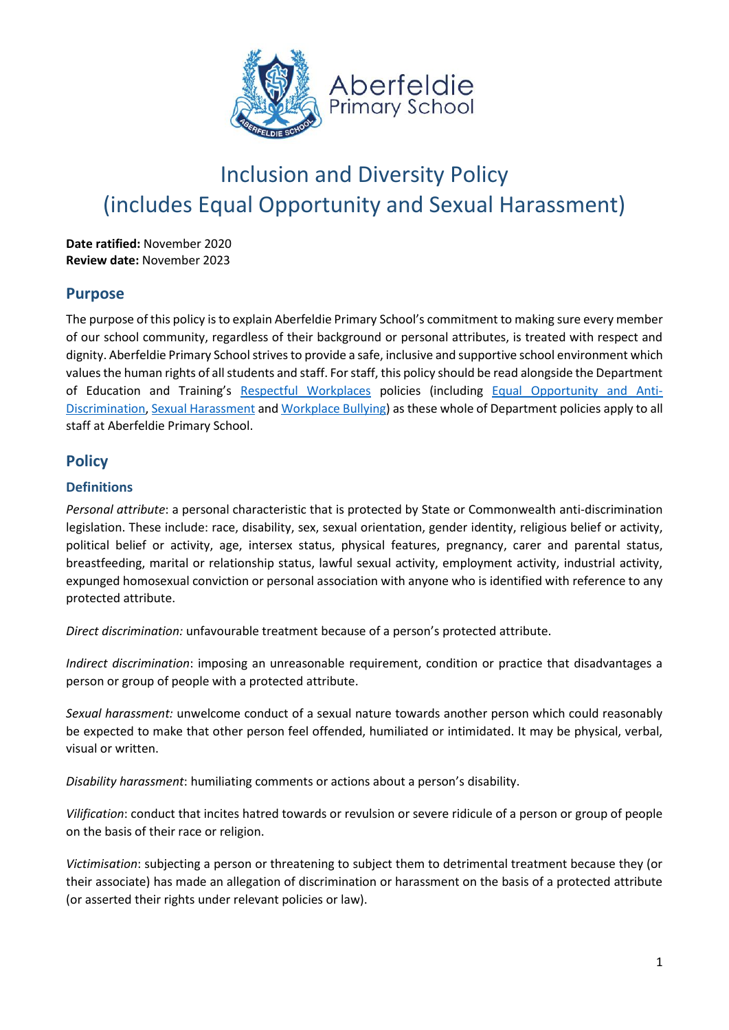

# Inclusion and Diversity Policy (includes Equal Opportunity and Sexual Harassment)

**Date ratified:** November 2020 **Review date:** November 2023

## **Purpose**

The purpose of this policy is to explain Aberfeldie Primary School's commitment to making sure every member of our school community, regardless of their background or personal attributes, is treated with respect and dignity. Aberfeldie Primary School strives to provide a safe, inclusive and supportive school environment which values the human rights of all students and staff. For staff, this policy should be read alongside the Department of Education and Training's [Respectful Workplaces](https://www2.education.vic.gov.au/pal/respectful-workplaces/overview) policies (including [Equal Opportunity and Anti-](https://www2.education.vic.gov.au/pal/equal-opportunity/overview)[Discrimination,](https://www2.education.vic.gov.au/pal/equal-opportunity/overview) [Sexual Harassment](https://www2.education.vic.gov.au/pal/sexual-harassment/overview) an[d Workplace Bullying\)](https://www2.education.vic.gov.au/pal/workplace-bullying/policy) as these whole of Department policies apply to all staff at Aberfeldie Primary School.

# **Policy**

### **Definitions**

*Personal attribute*: a personal characteristic that is protected by State or Commonwealth anti-discrimination legislation. These include: race, disability, sex, sexual orientation, gender identity, religious belief or activity, political belief or activity, age, intersex status, physical features, pregnancy, carer and parental status, breastfeeding, marital or relationship status, lawful sexual activity, employment activity, industrial activity, expunged homosexual conviction or personal association with anyone who is identified with reference to any protected attribute.

*Direct discrimination:* unfavourable treatment because of a person's protected attribute.

*Indirect discrimination*: imposing an unreasonable requirement, condition or practice that disadvantages a person or group of people with a protected attribute.

*Sexual harassment:* unwelcome conduct of a sexual nature towards another person which could reasonably be expected to make that other person feel offended, humiliated or intimidated. It may be physical, verbal, visual or written.

*Disability harassment*: humiliating comments or actions about a person's disability.

*Vilification*: conduct that incites hatred towards or revulsion or severe ridicule of a person or group of people on the basis of their race or religion.

*Victimisation*: subjecting a person or threatening to subject them to detrimental treatment because they (or their associate) has made an allegation of discrimination or harassment on the basis of a protected attribute (or asserted their rights under relevant policies or law).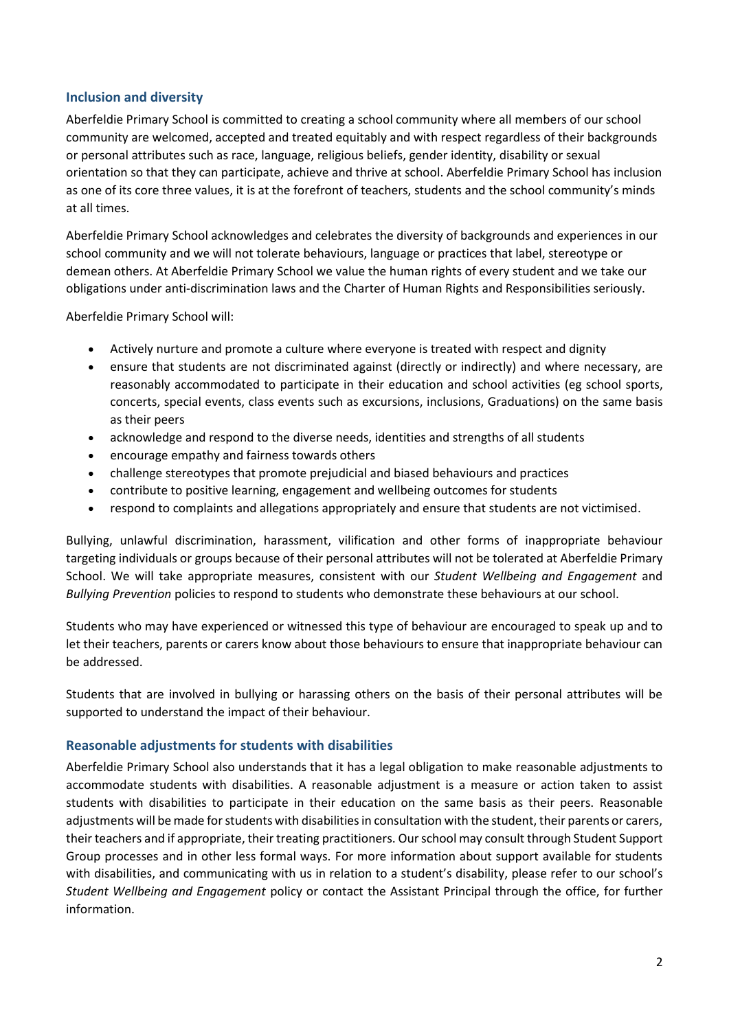#### **Inclusion and diversity**

Aberfeldie Primary School is committed to creating a school community where all members of our school community are welcomed, accepted and treated equitably and with respect regardless of their backgrounds or personal attributes such as race, language, religious beliefs, gender identity, disability or sexual orientation so that they can participate, achieve and thrive at school. Aberfeldie Primary School has inclusion as one of its core three values, it is at the forefront of teachers, students and the school community's minds at all times.

Aberfeldie Primary School acknowledges and celebrates the diversity of backgrounds and experiences in our school community and we will not tolerate behaviours, language or practices that label, stereotype or demean others. At Aberfeldie Primary School we value the human rights of every student and we take our obligations under anti-discrimination laws and the Charter of Human Rights and Responsibilities seriously.

Aberfeldie Primary School will:

- Actively nurture and promote a culture where everyone is treated with respect and dignity
- ensure that students are not discriminated against (directly or indirectly) and where necessary, are reasonably accommodated to participate in their education and school activities (eg school sports, concerts, special events, class events such as excursions, inclusions, Graduations) on the same basis as their peers
- acknowledge and respond to the diverse needs, identities and strengths of all students
- encourage empathy and fairness towards others
- challenge stereotypes that promote prejudicial and biased behaviours and practices
- contribute to positive learning, engagement and wellbeing outcomes for students
- respond to complaints and allegations appropriately and ensure that students are not victimised.

Bullying, unlawful discrimination, harassment, vilification and other forms of inappropriate behaviour targeting individuals or groups because of their personal attributes will not be tolerated at Aberfeldie Primary School. We will take appropriate measures, consistent with our *Student Wellbeing and Engagement* and *Bullying Prevention* policies to respond to students who demonstrate these behaviours at our school.

Students who may have experienced or witnessed this type of behaviour are encouraged to speak up and to let their teachers, parents or carers know about those behaviours to ensure that inappropriate behaviour can be addressed.

Students that are involved in bullying or harassing others on the basis of their personal attributes will be supported to understand the impact of their behaviour.

#### **Reasonable adjustments for students with disabilities**

Aberfeldie Primary School also understands that it has a legal obligation to make reasonable adjustments to accommodate students with disabilities. A reasonable adjustment is a measure or action taken to assist students with disabilities to participate in their education on the same basis as their peers. Reasonable adjustments will be made for students with disabilities in consultation with the student, their parents or carers, their teachers and if appropriate, their treating practitioners. Our school may consult through Student Support Group processes and in other less formal ways. For more information about support available for students with disabilities, and communicating with us in relation to a student's disability, please refer to our school's *Student Wellbeing and Engagement* policy or contact the Assistant Principal through the office, for further information.